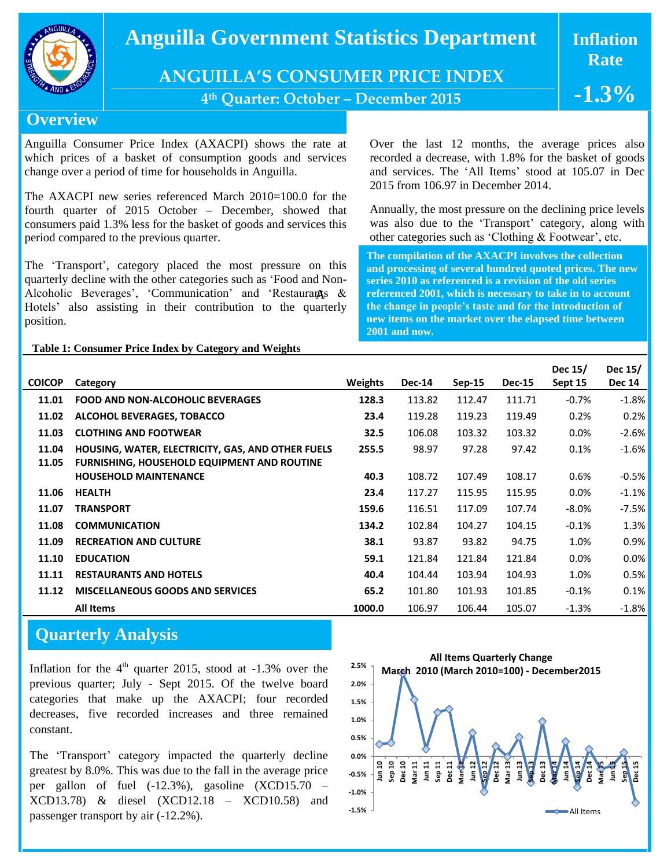

## $\bf$  Anguilla Government Statistics Department  $\quad$   $\bf{I}$  In

**ANGUILLA'S CONSUMER PRICE INDEX**

**4 th Quarter: October – December 2015**

**Inflation Rate**

**-1.3%**

**Overview**

Anguilla Consumer Price Index (AXACPI) shows the rate at which prices of a basket of consumption goods and services change over a period of time for households in Anguilla.

The AXACPI new series referenced March 2010=100.0 for the fourth quarter of 2015 October – December, showed that consumers paid 1.3% less for the basket of goods and services this period compared to the previous quarter.

The 'Transport', category placed the most pressure on this quarterly decline with the other categories such as 'Food and Non-Alcoholic Beverages', 'Communication' and 'Restaurants & Hotels' also assisting in their contribution to the quarterly position.

Over the last 12 months, the average prices also recorded a decrease, with 1.8% for the basket of goods and services. The 'All Items' stood at 105.07 in Dec 2015 from 106.97 in December 2014.

Annually, the most pressure on the declining price levels was also due to the 'Transport' category, along with other categories such as 'Clothing & Footwear', etc.

**The compilation of the AXACPI involves the collection and processing of several hundred quoted prices. The new series 2010 as referenced is a revision of the old series referenced 2001, which is necessary to take in to account the change in people's taste and for the introduction of new items on the market over the elapsed time between 2001 and now.** 

## **Table 1: Consumer Price Index by Category and Weights**

| <b>COICOP</b><br><b>Weights</b><br><b>Dec-14</b><br>$Sep-15$<br><b>Dec-15</b><br>Sept 15<br>Category<br>$-0.7%$<br><b>FOOD AND NON-ALCOHOLIC BEVERAGES</b><br>128.3<br>113.82<br>112.47<br>111.71<br>11.01<br>119.49<br>119.28<br>119.23<br>0.2%<br>11.02<br>ALCOHOL BEVERAGES, TOBACCO<br>23.4<br><b>CLOTHING AND FOOTWEAR</b><br>106.08<br>103.32<br>103.32<br>0.0%<br>11.03<br>32.5<br>97.42<br>HOUSING, WATER, ELECTRICITY, GAS, AND OTHER FUELS<br>255.5<br>98.97<br>97.28<br>0.1%<br>11.04<br>11.05<br><b>FURNISHING, HOUSEHOLD EQUIPMENT AND ROUTINE</b><br><b>HOUSEHOLD MAINTENANCE</b><br>40.3<br>108.72<br>107.49<br>108.17<br>0.6% |  |  |  | Dec 15/ | Dec $15/$     |
|-----------------------------------------------------------------------------------------------------------------------------------------------------------------------------------------------------------------------------------------------------------------------------------------------------------------------------------------------------------------------------------------------------------------------------------------------------------------------------------------------------------------------------------------------------------------------------------------------------------------------------------------------|--|--|--|---------|---------------|
|                                                                                                                                                                                                                                                                                                                                                                                                                                                                                                                                                                                                                                               |  |  |  |         | <b>Dec 14</b> |
|                                                                                                                                                                                                                                                                                                                                                                                                                                                                                                                                                                                                                                               |  |  |  |         | $-1.8%$       |
|                                                                                                                                                                                                                                                                                                                                                                                                                                                                                                                                                                                                                                               |  |  |  |         | 0.2%          |
|                                                                                                                                                                                                                                                                                                                                                                                                                                                                                                                                                                                                                                               |  |  |  |         | $-2.6%$       |
|                                                                                                                                                                                                                                                                                                                                                                                                                                                                                                                                                                                                                                               |  |  |  |         | $-1.6%$       |
|                                                                                                                                                                                                                                                                                                                                                                                                                                                                                                                                                                                                                                               |  |  |  |         |               |
|                                                                                                                                                                                                                                                                                                                                                                                                                                                                                                                                                                                                                                               |  |  |  |         | $-0.5%$       |
| 117.27<br>115.95<br>115.95<br>0.0%<br>11.06<br><b>HEALTH</b><br>23.4                                                                                                                                                                                                                                                                                                                                                                                                                                                                                                                                                                          |  |  |  |         | $-1.1\%$      |
| 159.6<br>117.09<br>11.07<br><b>TRANSPORT</b><br>116.51<br>107.74<br>$-8.0\%$                                                                                                                                                                                                                                                                                                                                                                                                                                                                                                                                                                  |  |  |  |         | $-7.5%$       |
| 102.84<br>11.08<br><b>COMMUNICATION</b><br>134.2<br>104.27<br>104.15<br>$-0.1%$                                                                                                                                                                                                                                                                                                                                                                                                                                                                                                                                                               |  |  |  |         | 1.3%          |
| 11.09<br><b>RECREATION AND CULTURE</b><br>38.1<br>93.87<br>93.82<br>94.75<br>1.0%                                                                                                                                                                                                                                                                                                                                                                                                                                                                                                                                                             |  |  |  |         | 0.9%          |
| 121.84<br>121.84<br>11.10<br><b>EDUCATION</b><br>59.1<br>121.84<br>0.0%                                                                                                                                                                                                                                                                                                                                                                                                                                                                                                                                                                       |  |  |  |         | 0.0%          |
| 103.94<br><b>RESTAURANTS AND HOTELS</b><br>104.44<br>104.93<br>1.0%<br>11.11<br>40.4                                                                                                                                                                                                                                                                                                                                                                                                                                                                                                                                                          |  |  |  |         | 0.5%          |
| 11.12<br><b>MISCELLANEOUS GOODS AND SERVICES</b><br>65.2<br>101.80<br>101.93<br>101.85<br>$-0.1%$                                                                                                                                                                                                                                                                                                                                                                                                                                                                                                                                             |  |  |  |         | 0.1%          |
| 1000.0<br>106.97<br>105.07<br><b>All Items</b><br>106.44<br>$-1.3\%$                                                                                                                                                                                                                                                                                                                                                                                                                                                                                                                                                                          |  |  |  |         | $-1.8\%$      |

## **Quarterly Analysis**

Inflation for the  $4<sup>th</sup>$  quarter 2015, stood at -1.3% over the previous quarter; July - Sept 2015. Of the twelve board categories that make up the AXACPI; four recorded decreases, five recorded increases and three remained constant.

The 'Transport' category impacted the quarterly decline greatest by 8.0%. This was due to the fall in the average price per gallon of fuel (-12.3%), gasoline (XCD15.70 – XCD13.78) & diesel (XCD12.18 – XCD10.58) and passenger transport by air (-12.2%).

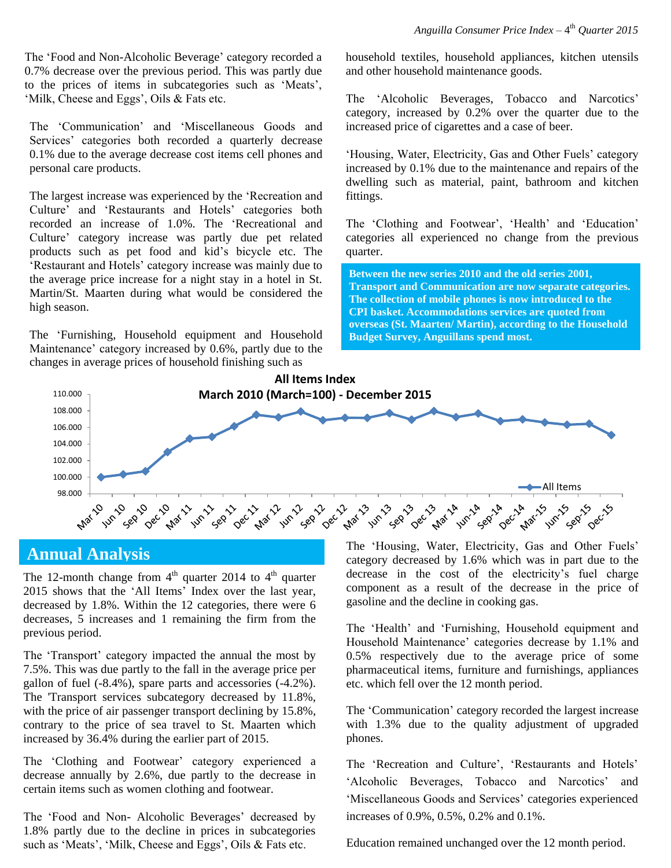The 'Food and Non-Alcoholic Beverage' category recorded a 0.7% decrease over the previous period. This was partly due to the prices of items in subcategories such as 'Meats', 'Milk, Cheese and Eggs', Oils & Fats etc.

The 'Communication' and 'Miscellaneous Goods and Services' categories both recorded a quarterly decrease 0.1% due to the average decrease cost items cell phones and personal care products.

The largest increase was experienced by the 'Recreation and Culture' and 'Restaurants and Hotels' categories both recorded an increase of 1.0%. The 'Recreational and Culture' category increase was partly due pet related products such as pet food and kid's bicycle etc. The 'Restaurant and Hotels' category increase was mainly due to the average price increase for a night stay in a hotel in St. Martin/St. Maarten during what would be considered the high season.

The 'Furnishing, Household equipment and Household Maintenance' category increased by 0.6%, partly due to the changes in average prices of household finishing such as

household textiles, household appliances, kitchen utensils and other household maintenance goods.

The 'Alcoholic Beverages, Tobacco and Narcotics' category, increased by 0.2% over the quarter due to the increased price of cigarettes and a case of beer.

'Housing, Water, Electricity, Gas and Other Fuels' category increased by 0.1% due to the maintenance and repairs of the dwelling such as material, paint, bathroom and kitchen fittings.

The 'Clothing and Footwear', 'Health' and 'Education' categories all experienced no change from the previous quarter.

**Between the new series 2010 and the old series 2001, Transport and Communication are now separate categories. The collection of mobile phones is now introduced to the CPI basket. Accommodations services are quoted from overseas (St. Maarten/ Martin), according to the Household Budget Survey, Anguillans spend most.**



## **Annual Analysis**

The 12-month change from  $4<sup>th</sup>$  quarter 2014 to  $4<sup>th</sup>$  quarter 2015 shows that the 'All Items' Index over the last year, decreased by 1.8%. Within the 12 categories, there were 6 decreases, 5 increases and 1 remaining the firm from the previous period.

The 'Transport' category impacted the annual the most by 7.5%. This was due partly to the fall in the average price per gallon of fuel  $(-8.4\%)$ , spare parts and accessories  $(-4.2\%)$ . The 'Transport services subcategory decreased by 11.8%, with the price of air passenger transport declining by 15.8%, contrary to the price of sea travel to St. Maarten which increased by 36.4% during the earlier part of 2015.

The 'Clothing and Footwear' category experienced a decrease annually by 2.6%, due partly to the decrease in certain items such as women clothing and footwear.

The 'Food and Non- Alcoholic Beverages' decreased by 1.8% partly due to the decline in prices in subcategories such as 'Meats', 'Milk, Cheese and Eggs', Oils & Fats etc.

The 'Housing, Water, Electricity, Gas and Other Fuels' category decreased by 1.6% which was in part due to the decrease in the cost of the electricity's fuel charge component as a result of the decrease in the price of gasoline and the decline in cooking gas.

The 'Health' and 'Furnishing, Household equipment and Household Maintenance' categories decrease by 1.1% and 0.5% respectively due to the average price of some pharmaceutical items, furniture and furnishings, appliances etc. which fell over the 12 month period.

The 'Communication' category recorded the largest increase with 1.3% due to the quality adjustment of upgraded phones.

The 'Recreation and Culture', 'Restaurants and Hotels' 'Alcoholic Beverages, Tobacco and Narcotics' and 'Miscellaneous Goods and Services' categories experienced increases of 0.9%, 0.5%, 0.2% and 0.1%.

Education remained unchanged over the 12 month period.